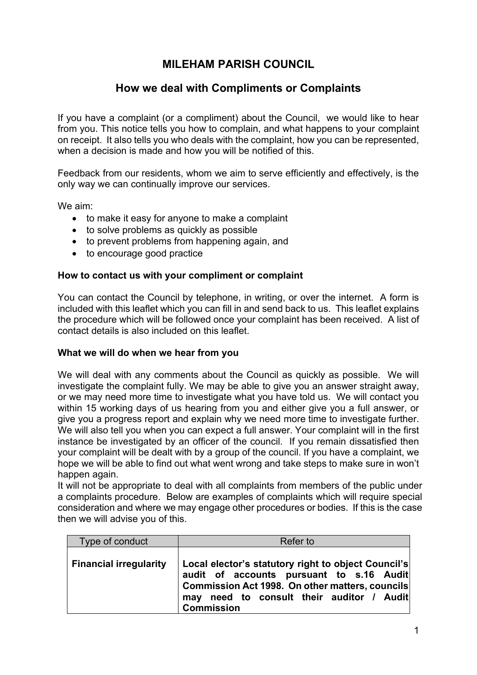# **MILEHAM PARISH COUNCIL**

# **How we deal with Compliments or Complaints**

If you have a complaint (or a compliment) about the Council, we would like to hear from you. This notice tells you how to complain, and what happens to your complaint on receipt. It also tells you who deals with the complaint, how you can be represented, when a decision is made and how you will be notified of this.

Feedback from our residents, whom we aim to serve efficiently and effectively, is the only way we can continually improve our services.

We aim:

- to make it easy for anyone to make a complaint
- to solve problems as quickly as possible
- to prevent problems from happening again, and
- to encourage good practice

### **How to contact us with your compliment or complaint**

You can contact the Council by telephone, in writing, or over the internet. A form is included with this leaflet which you can fill in and send back to us. This leaflet explains the procedure which will be followed once your complaint has been received. A list of contact details is also included on this leaflet.

#### **What we will do when we hear from you**

We will deal with any comments about the Council as quickly as possible. We will investigate the complaint fully. We may be able to give you an answer straight away, or we may need more time to investigate what you have told us. We will contact you within 15 working days of us hearing from you and either give you a full answer, or give you a progress report and explain why we need more time to investigate further. We will also tell you when you can expect a full answer. Your complaint will in the first instance be investigated by an officer of the council. If you remain dissatisfied then your complaint will be dealt with by a group of the council. If you have a complaint, we hope we will be able to find out what went wrong and take steps to make sure in won't happen again.

It will not be appropriate to deal with all complaints from members of the public under a complaints procedure. Below are examples of complaints which will require special consideration and where we may engage other procedures or bodies. If this is the case then we will advise you of this.

| Type of conduct               | Refer to                                                                                                                                                                                                                |
|-------------------------------|-------------------------------------------------------------------------------------------------------------------------------------------------------------------------------------------------------------------------|
| <b>Financial irregularity</b> | Local elector's statutory right to object Council's<br>audit of accounts pursuant to s.16 Audit<br>Commission Act 1998. On other matters, councils<br>need to consult their auditor / Audit<br>may<br><b>Commission</b> |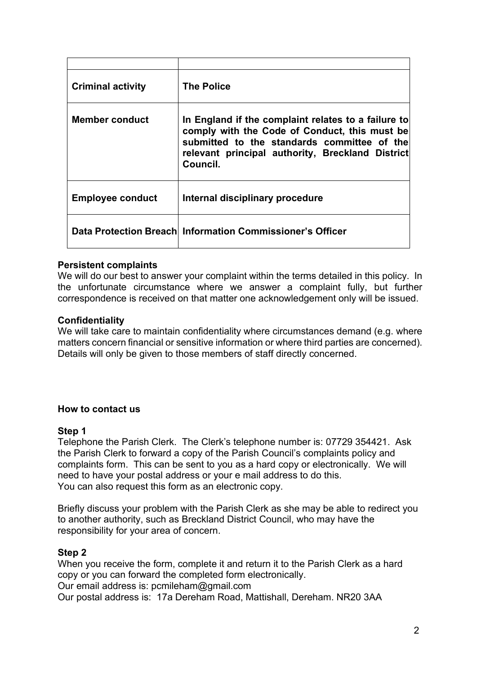| <b>Criminal activity</b> | <b>The Police</b>                                                                                                                                                                                                   |
|--------------------------|---------------------------------------------------------------------------------------------------------------------------------------------------------------------------------------------------------------------|
| Member conduct           | In England if the complaint relates to a failure to<br>comply with the Code of Conduct, this must be<br>submitted to the standards committee of the<br>relevant principal authority, Breckland District<br>Council. |
| <b>Employee conduct</b>  | Internal disciplinary procedure                                                                                                                                                                                     |
|                          | Data Protection Breach Information Commissioner's Officer                                                                                                                                                           |

### **Persistent complaints**

We will do our best to answer your complaint within the terms detailed in this policy. In the unfortunate circumstance where we answer a complaint fully, but further correspondence is received on that matter one acknowledgement only will be issued.

### **Confidentiality**

We will take care to maintain confidentiality where circumstances demand (e.g. where matters concern financial or sensitive information or where third parties are concerned). Details will only be given to those members of staff directly concerned.

### **How to contact us**

#### **Step 1**

Telephone the Parish Clerk. The Clerk's telephone number is: 07729 354421. Ask the Parish Clerk to forward a copy of the Parish Council's complaints policy and complaints form. This can be sent to you as a hard copy or electronically. We will need to have your postal address or your e mail address to do this. You can also request this form as an electronic copy.

Briefly discuss your problem with the Parish Clerk as she may be able to redirect you to another authority, such as Breckland District Council, who may have the responsibility for your area of concern.

#### **Step 2**

When you receive the form, complete it and return it to the Parish Clerk as a hard copy or you can forward the completed form electronically. Our email address is: pcmileham@gmail.com Our postal address is: 17a Dereham Road, Mattishall, Dereham. NR20 3AA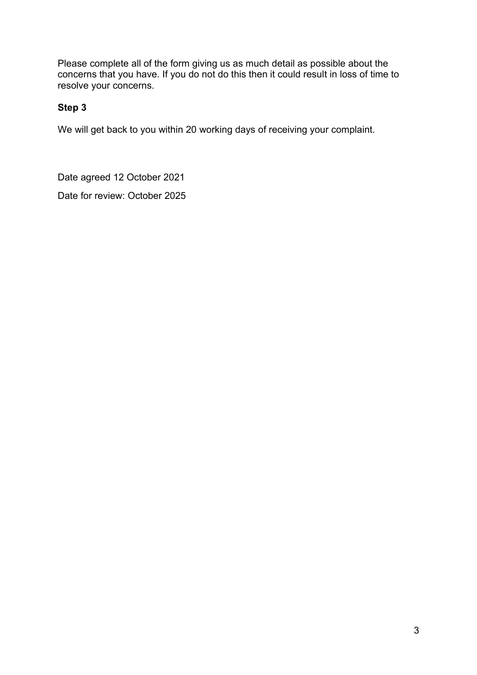Please complete all of the form giving us as much detail as possible about the concerns that you have. If you do not do this then it could result in loss of time to resolve your concerns.

# **Step 3**

We will get back to you within 20 working days of receiving your complaint.

Date agreed 12 October 2021

Date for review: October 2025